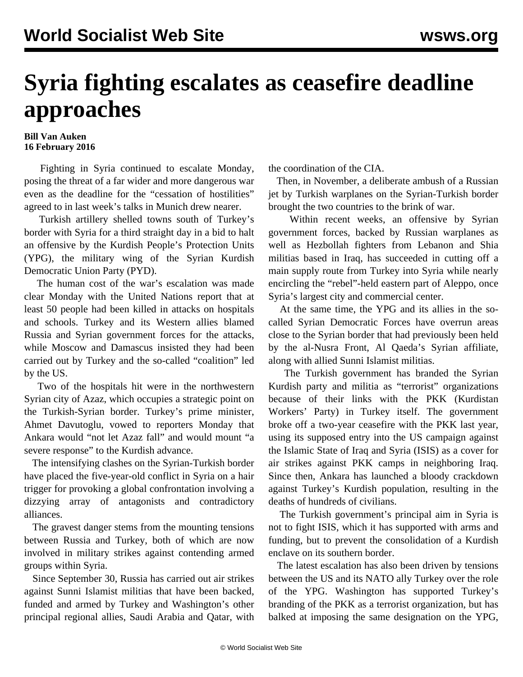## **Syria fighting escalates as ceasefire deadline approaches**

## **Bill Van Auken 16 February 2016**

 Fighting in Syria continued to escalate Monday, posing the threat of a far wider and more dangerous war even as the deadline for the "cessation of hostilities" agreed to in last week's talks in Munich drew nearer.

 Turkish artillery shelled towns south of Turkey's border with Syria for a third straight day in a bid to halt an offensive by the Kurdish People's Protection Units (YPG), the military wing of the Syrian Kurdish Democratic Union Party (PYD).

 The human cost of the war's escalation was made clear Monday with the United Nations report that at least 50 people had been killed in attacks on hospitals and schools. Turkey and its Western allies blamed Russia and Syrian government forces for the attacks, while Moscow and Damascus insisted they had been carried out by Turkey and the so-called "coalition" led by the US.

 Two of the hospitals hit were in the northwestern Syrian city of Azaz, which occupies a strategic point on the Turkish-Syrian border. Turkey's prime minister, Ahmet Davutoglu, vowed to reporters Monday that Ankara would "not let Azaz fall" and would mount "a severe response" to the Kurdish advance.

 The intensifying clashes on the Syrian-Turkish border have placed the five-year-old conflict in Syria on a hair trigger for provoking a global confrontation involving a dizzying array of antagonists and contradictory alliances.

 The gravest danger stems from the mounting tensions between Russia and Turkey, both of which are now involved in military strikes against contending armed groups within Syria.

 Since September 30, Russia has carried out air strikes against Sunni Islamist militias that have been backed, funded and armed by Turkey and Washington's other principal regional allies, Saudi Arabia and Qatar, with the coordination of the CIA.

 Then, in November, a deliberate ambush of a Russian jet by Turkish warplanes on the Syrian-Turkish border brought the two countries to the brink of war.

 Within recent weeks, an offensive by Syrian government forces, backed by Russian warplanes as well as Hezbollah fighters from Lebanon and Shia militias based in Iraq, has succeeded in cutting off a main supply route from Turkey into Syria while nearly encircling the "rebel"-held eastern part of Aleppo, once Syria's largest city and commercial center.

 At the same time, the YPG and its allies in the socalled Syrian Democratic Forces have overrun areas close to the Syrian border that had previously been held by the al-Nusra Front, Al Qaeda's Syrian affiliate, along with allied Sunni Islamist militias.

 The Turkish government has branded the Syrian Kurdish party and militia as "terrorist" organizations because of their links with the PKK (Kurdistan Workers' Party) in Turkey itself. The government broke off a two-year ceasefire with the PKK last year, using its supposed entry into the US campaign against the Islamic State of Iraq and Syria (ISIS) as a cover for air strikes against PKK camps in neighboring Iraq. Since then, Ankara has launched a bloody crackdown against Turkey's Kurdish population, resulting in the deaths of hundreds of civilians.

 The Turkish government's principal aim in Syria is not to fight ISIS, which it has supported with arms and funding, but to prevent the consolidation of a Kurdish enclave on its southern border.

 The latest escalation has also been driven by tensions between the US and its NATO ally Turkey over the role of the YPG. Washington has supported Turkey's branding of the PKK as a terrorist organization, but has balked at imposing the same designation on the YPG,